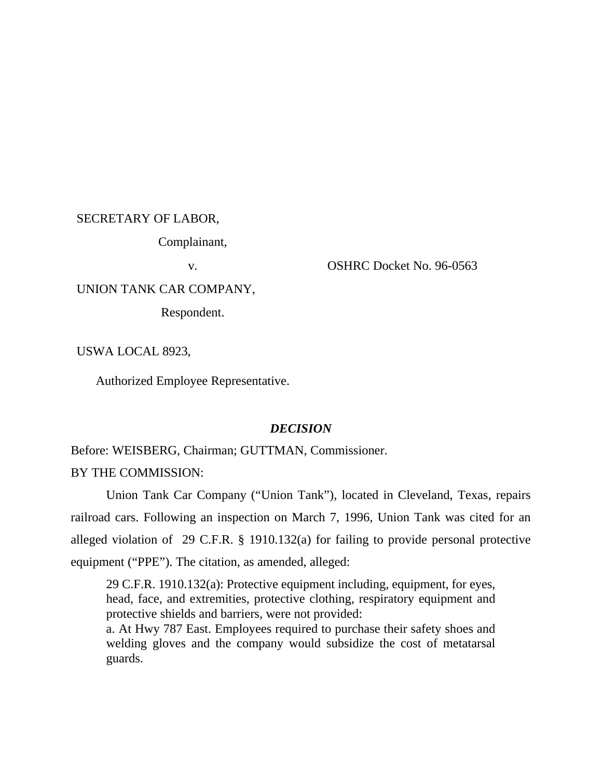#### SECRETARY OF LABOR,

Complainant,

v. OSHRC Docket No. 96-0563

# UNION TANK CAR COMPANY,

Respondent.

USWA LOCAL 8923,

Authorized Employee Representative.

#### *DECISION*

Before: WEISBERG, Chairman; GUTTMAN, Commissioner.

### BY THE COMMISSION:

Union Tank Car Company ("Union Tank"), located in Cleveland, Texas, repairs railroad cars. Following an inspection on March 7, 1996, Union Tank was cited for an alleged violation of 29 C.F.R. § 1910.132(a) for failing to provide personal protective equipment ("PPE"). The citation, as amended, alleged:

29 C.F.R. 1910.132(a): Protective equipment including, equipment, for eyes, head, face, and extremities, protective clothing, respiratory equipment and protective shields and barriers, were not provided:

a. At Hwy 787 East. Employees required to purchase their safety shoes and welding gloves and the company would subsidize the cost of metatarsal guards.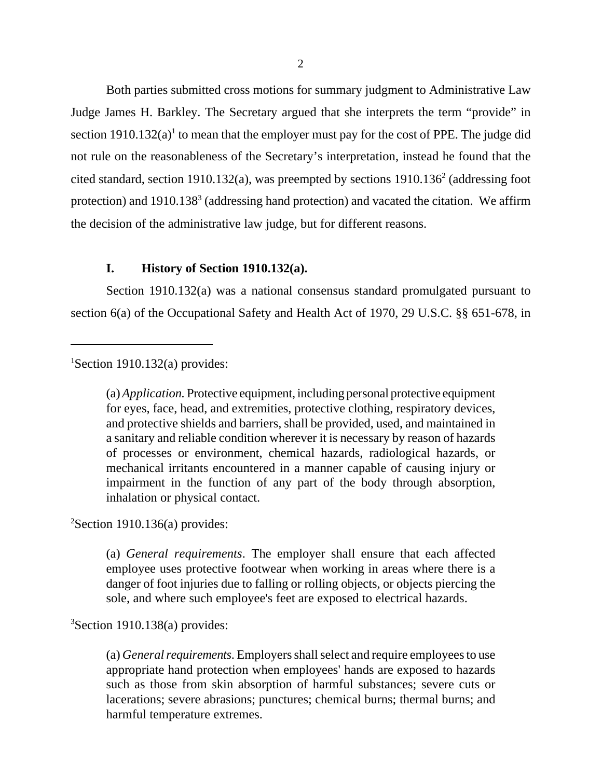Both parties submitted cross motions for summary judgment to Administrative Law Judge James H. Barkley. The Secretary argued that she interprets the term "provide" in section  $1910.132(a)$ <sup>1</sup> to mean that the employer must pay for the cost of PPE. The judge did not rule on the reasonableness of the Secretary's interpretation, instead he found that the cited standard, section 1910.132(a), was preempted by sections  $1910.136<sup>2</sup>$  (addressing foot protection) and 1910.138<sup>3</sup> (addressing hand protection) and vacated the citation. We affirm the decision of the administrative law judge, but for different reasons.

# **I. History of Section 1910.132(a).**

Section 1910.132(a) was a national consensus standard promulgated pursuant to section 6(a) of the Occupational Safety and Health Act of 1970, 29 U.S.C. §§ 651-678, in

# <sup>1</sup>Section 1910.132(a) provides:

(a)*Application.* Protective equipment, including personal protective equipment for eyes, face, head, and extremities, protective clothing, respiratory devices, and protective shields and barriers, shall be provided, used, and maintained in a sanitary and reliable condition wherever it is necessary by reason of hazards of processes or environment, chemical hazards, radiological hazards, or mechanical irritants encountered in a manner capable of causing injury or impairment in the function of any part of the body through absorption, inhalation or physical contact.

 $2$ Section 1910.136(a) provides:

(a) *General requirements*. The employer shall ensure that each affected employee uses protective footwear when working in areas where there is a danger of foot injuries due to falling or rolling objects, or objects piercing the sole, and where such employee's feet are exposed to electrical hazards.

<sup>3</sup>Section 1910.138(a) provides:

(a) *General requirements*. Employers shall select and require employees to use appropriate hand protection when employees' hands are exposed to hazards such as those from skin absorption of harmful substances; severe cuts or lacerations; severe abrasions; punctures; chemical burns; thermal burns; and harmful temperature extremes.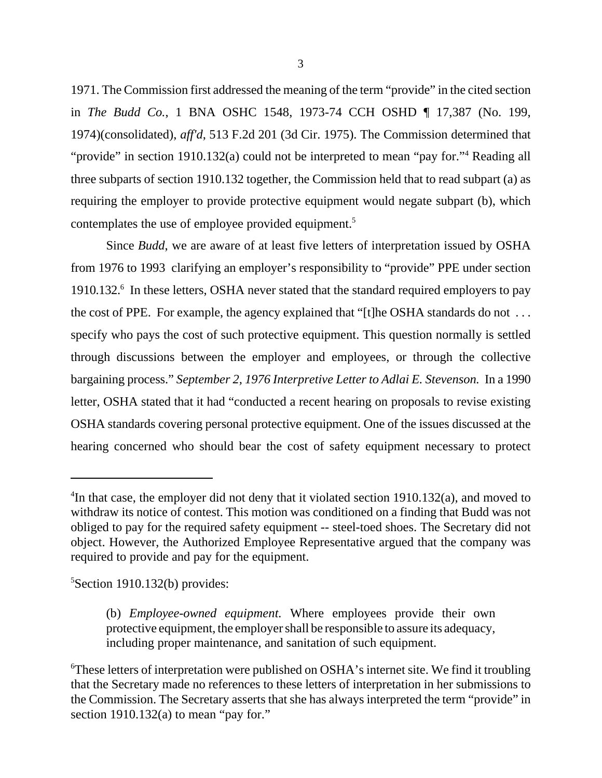1971. The Commission first addressed the meaning of the term "provide" in the cited section in *The Budd Co.*, 1 BNA OSHC 1548, 1973-74 CCH OSHD ¶ 17,387 (No. 199, 1974)(consolidated), *aff'd*, 513 F.2d 201 (3d Cir. 1975). The Commission determined that "provide" in section 1910.132(a) could not be interpreted to mean "pay for."<sup>4</sup> Reading all three subparts of section 1910.132 together, the Commission held that to read subpart (a) as requiring the employer to provide protective equipment would negate subpart (b), which contemplates the use of employee provided equipment.<sup>5</sup>

Since *Budd*, we are aware of at least five letters of interpretation issued by OSHA from 1976 to 1993 clarifying an employer's responsibility to "provide" PPE under section 1910.132.<sup>6</sup> In these letters, OSHA never stated that the standard required employers to pay the cost of PPE. For example, the agency explained that "[t]he OSHA standards do not . . . specify who pays the cost of such protective equipment. This question normally is settled through discussions between the employer and employees, or through the collective bargaining process." *September 2, 1976 Interpretive Letter to Adlai E. Stevenson.* In a 1990 letter, OSHA stated that it had "conducted a recent hearing on proposals to revise existing OSHA standards covering personal protective equipment. One of the issues discussed at the hearing concerned who should bear the cost of safety equipment necessary to protect

 ${}^{5}$ Section 1910.132(b) provides:

<sup>&</sup>lt;sup>4</sup>In that case, the employer did not deny that it violated section 1910.132(a), and moved to withdraw its notice of contest. This motion was conditioned on a finding that Budd was not obliged to pay for the required safety equipment -- steel-toed shoes. The Secretary did not object. However, the Authorized Employee Representative argued that the company was required to provide and pay for the equipment.

<sup>(</sup>b) *Employee-owned equipment.* Where employees provide their own protective equipment, the employer shall be responsible to assure its adequacy, including proper maintenance, and sanitation of such equipment.

<sup>6</sup>These letters of interpretation were published on OSHA's internet site. We find it troubling that the Secretary made no references to these letters of interpretation in her submissions to the Commission. The Secretary asserts that she has always interpreted the term "provide" in section 1910.132(a) to mean "pay for."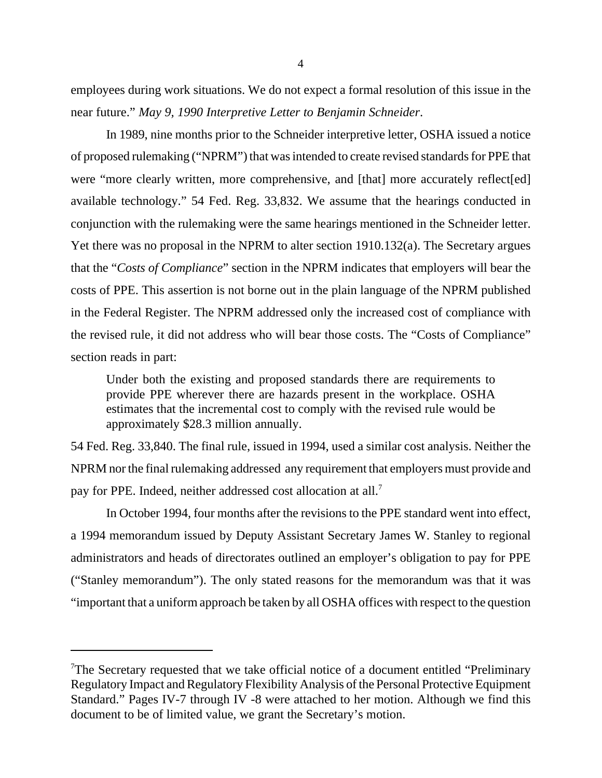employees during work situations. We do not expect a formal resolution of this issue in the near future." *May 9, 1990 Interpretive Letter to Benjamin Schneider*.

In 1989, nine months prior to the Schneider interpretive letter, OSHA issued a notice of proposed rulemaking ("NPRM") that was intended to create revised standards for PPE that were "more clearly written, more comprehensive, and [that] more accurately reflect[ed] available technology." 54 Fed. Reg. 33,832. We assume that the hearings conducted in conjunction with the rulemaking were the same hearings mentioned in the Schneider letter. Yet there was no proposal in the NPRM to alter section 1910.132(a). The Secretary argues that the "*Costs of Compliance*" section in the NPRM indicates that employers will bear the costs of PPE. This assertion is not borne out in the plain language of the NPRM published in the Federal Register. The NPRM addressed only the increased cost of compliance with the revised rule, it did not address who will bear those costs. The "Costs of Compliance" section reads in part:

Under both the existing and proposed standards there are requirements to provide PPE wherever there are hazards present in the workplace. OSHA estimates that the incremental cost to comply with the revised rule would be approximately \$28.3 million annually.

54 Fed. Reg. 33,840. The final rule, issued in 1994, used a similar cost analysis. Neither the NPRM nor the final rulemaking addressed any requirement that employers must provide and pay for PPE. Indeed, neither addressed cost allocation at all.<sup>7</sup>

In October 1994, four months after the revisions to the PPE standard went into effect, a 1994 memorandum issued by Deputy Assistant Secretary James W. Stanley to regional administrators and heads of directorates outlined an employer's obligation to pay for PPE ("Stanley memorandum"). The only stated reasons for the memorandum was that it was "important that a uniform approach be taken by all OSHA offices with respect to the question

<sup>7</sup>The Secretary requested that we take official notice of a document entitled "Preliminary Regulatory Impact and Regulatory Flexibility Analysis of the Personal Protective Equipment Standard." Pages IV-7 through IV -8 were attached to her motion. Although we find this document to be of limited value, we grant the Secretary's motion.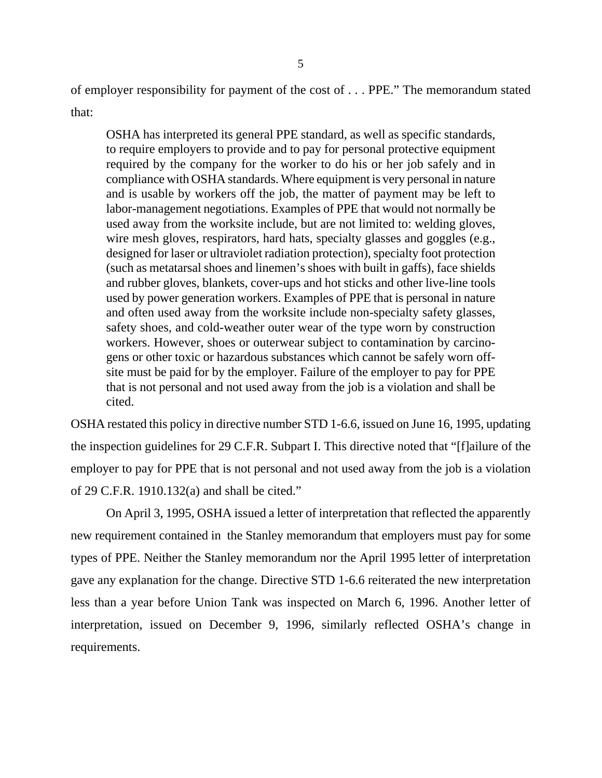of employer responsibility for payment of the cost of . . . PPE." The memorandum stated that:

OSHA has interpreted its general PPE standard, as well as specific standards, to require employers to provide and to pay for personal protective equipment required by the company for the worker to do his or her job safely and in compliance with OSHA standards. Where equipment is very personal in nature and is usable by workers off the job, the matter of payment may be left to labor-management negotiations. Examples of PPE that would not normally be used away from the worksite include, but are not limited to: welding gloves, wire mesh gloves, respirators, hard hats, specialty glasses and goggles (e.g., designed for laser or ultraviolet radiation protection), specialty foot protection (such as metatarsal shoes and linemen's shoes with built in gaffs), face shields and rubber gloves, blankets, cover-ups and hot sticks and other live-line tools used by power generation workers. Examples of PPE that is personal in nature and often used away from the worksite include non-specialty safety glasses, safety shoes, and cold-weather outer wear of the type worn by construction workers. However, shoes or outerwear subject to contamination by carcinogens or other toxic or hazardous substances which cannot be safely worn offsite must be paid for by the employer. Failure of the employer to pay for PPE that is not personal and not used away from the job is a violation and shall be cited.

OSHA restated this policy in directive number STD 1-6.6, issued on June 16, 1995, updating the inspection guidelines for 29 C.F.R. Subpart I. This directive noted that "[f]ailure of the employer to pay for PPE that is not personal and not used away from the job is a violation of 29 C.F.R. 1910.132(a) and shall be cited."

On April 3, 1995, OSHA issued a letter of interpretation that reflected the apparently new requirement contained in the Stanley memorandum that employers must pay for some types of PPE. Neither the Stanley memorandum nor the April 1995 letter of interpretation gave any explanation for the change. Directive STD 1-6.6 reiterated the new interpretation less than a year before Union Tank was inspected on March 6, 1996. Another letter of interpretation, issued on December 9, 1996, similarly reflected OSHA's change in requirements.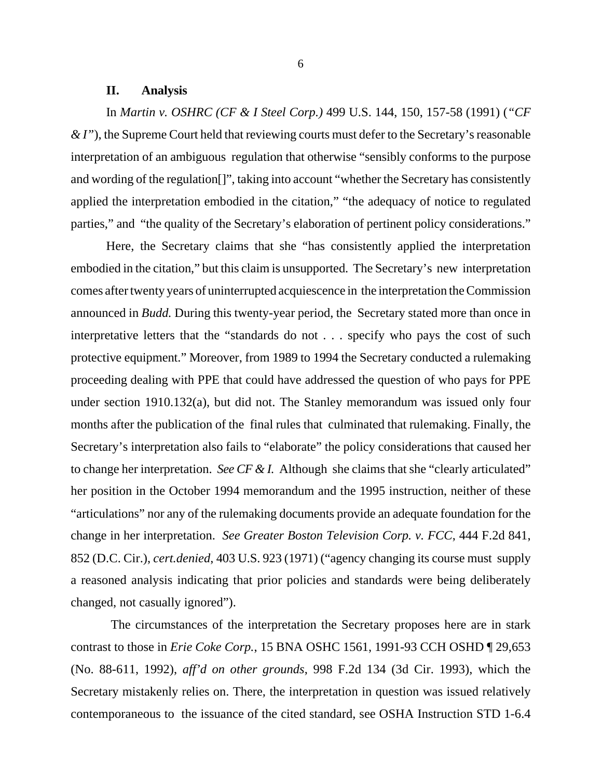#### **II. Analysis**

In *Martin v. OSHRC (CF & I Steel Corp.)* 499 U.S. 144, 150, 157-58 (1991) (*"CF & I"*), the Supreme Court held that reviewing courts must defer to the Secretary's reasonable interpretation of an ambiguous regulation that otherwise "sensibly conforms to the purpose and wording of the regulation[]", taking into account "whether the Secretary has consistently applied the interpretation embodied in the citation," "the adequacy of notice to regulated parties," and "the quality of the Secretary's elaboration of pertinent policy considerations."

Here, the Secretary claims that she "has consistently applied the interpretation embodied in the citation," but this claim is unsupported. The Secretary's new interpretation comes after twenty years of uninterrupted acquiescence in the interpretation the Commission announced in *Budd.* During this twenty-year period, the Secretary stated more than once in interpretative letters that the "standards do not . . . specify who pays the cost of such protective equipment." Moreover, from 1989 to 1994 the Secretary conducted a rulemaking proceeding dealing with PPE that could have addressed the question of who pays for PPE under section 1910.132(a), but did not. The Stanley memorandum was issued only four months after the publication of the final rules that culminated that rulemaking. Finally, the Secretary's interpretation also fails to "elaborate" the policy considerations that caused her to change her interpretation. *See CF & I.* Although she claims that she "clearly articulated" her position in the October 1994 memorandum and the 1995 instruction, neither of these "articulations" nor any of the rulemaking documents provide an adequate foundation for the change in her interpretation. *See Greater Boston Television Corp. v. FCC*, 444 F.2d 841, 852 (D.C. Cir.), *cert.denied*, 403 U.S. 923 (1971) ("agency changing its course must supply a reasoned analysis indicating that prior policies and standards were being deliberately changed, not casually ignored").

 The circumstances of the interpretation the Secretary proposes here are in stark contrast to those in *Erie Coke Corp.*, 15 BNA OSHC 1561, 1991-93 CCH OSHD ¶ 29,653 (No. 88-611, 1992), *aff'd on other grounds*, 998 F.2d 134 (3d Cir. 1993), which the Secretary mistakenly relies on. There*,* the interpretation in question was issued relatively contemporaneous to the issuance of the cited standard, see OSHA Instruction STD 1-6.4